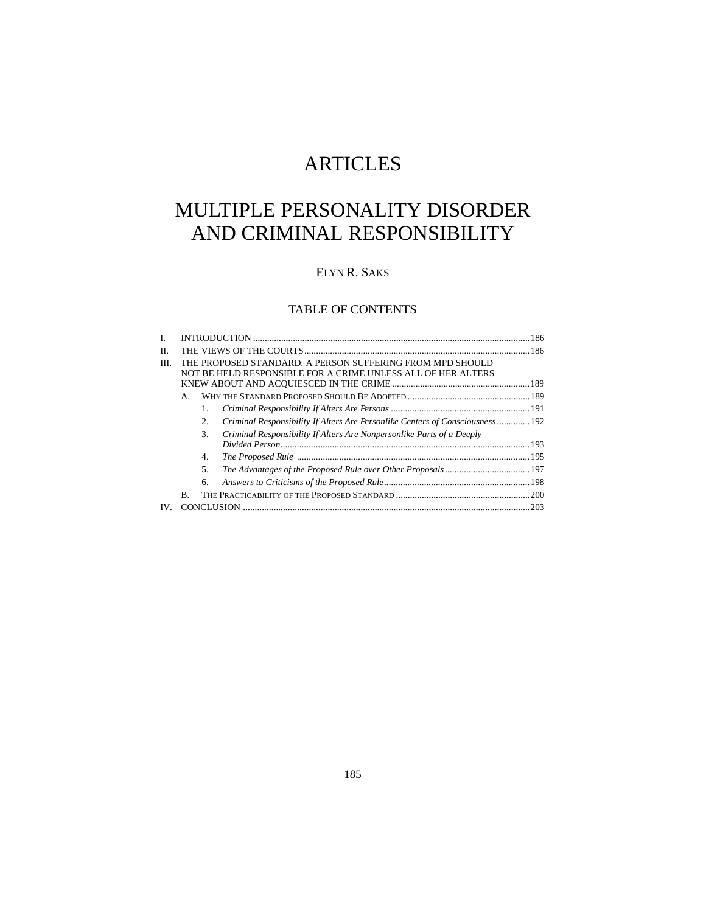# ARTICLES

# MULTIPLE PERSONALITY DISORDER AND CRIMINAL RESPONSIBILITY

# ELYN R. SAKS

# TABLE OF CONTENTS

| L.       |                                                                                                                           |    |                                                                              |  |
|----------|---------------------------------------------------------------------------------------------------------------------------|----|------------------------------------------------------------------------------|--|
| П.       |                                                                                                                           |    |                                                                              |  |
| III.     | THE PROPOSED STANDARD: A PERSON SUFFERING FROM MPD SHOULD<br>NOT BE HELD RESPONSIBLE FOR A CRIME UNLESS ALL OF HER ALTERS |    |                                                                              |  |
|          | А.                                                                                                                        |    |                                                                              |  |
|          |                                                                                                                           |    |                                                                              |  |
|          |                                                                                                                           | 2. | Criminal Responsibility If Alters Are Personlike Centers of Consciousness192 |  |
|          |                                                                                                                           | 3. | Criminal Responsibility If Alters Are Nonpersonlike Parts of a Deeply        |  |
|          |                                                                                                                           | 4. |                                                                              |  |
|          |                                                                                                                           | 5. |                                                                              |  |
|          |                                                                                                                           | 6. |                                                                              |  |
|          | B.                                                                                                                        |    |                                                                              |  |
| $IV_{-}$ |                                                                                                                           |    |                                                                              |  |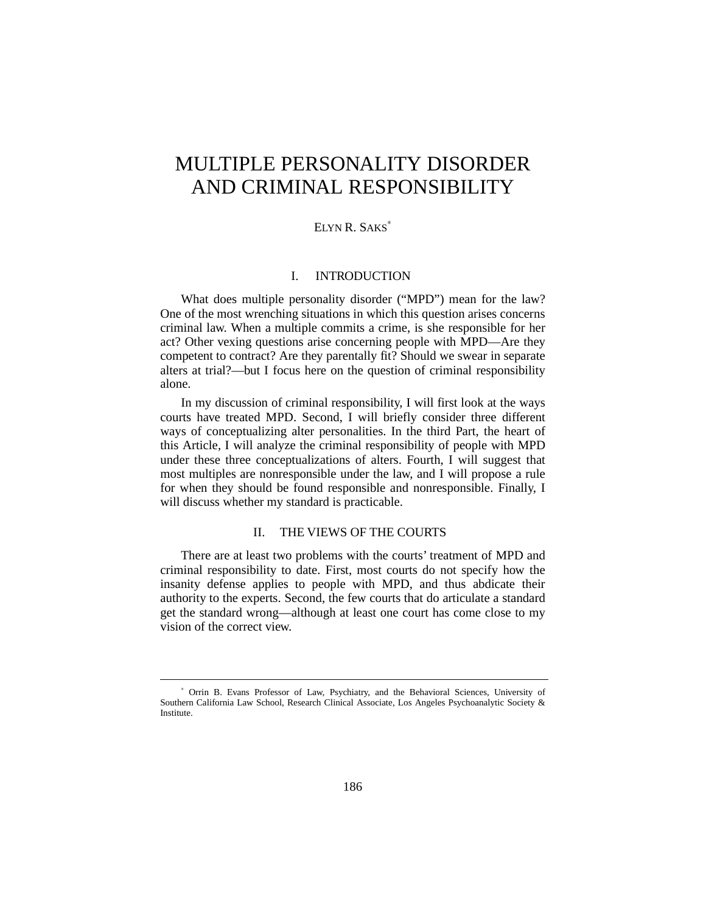# MULTIPLE PERSONALITY DISORDER AND CRIMINAL RESPONSIBILITY

## ELYN R. SAKS<sup>∗</sup>

#### I. INTRODUCTION

What does multiple personality disorder ("MPD") mean for the law? One of the most wrenching situations in which this question arises concerns criminal law. When a multiple commits a crime, is she responsible for her act? Other vexing questions arise concerning people with MPD—Are they competent to contract? Are they parentally fit? Should we swear in separate alters at trial?—but I focus here on the question of criminal responsibility alone.

In my discussion of criminal responsibility, I will first look at the ways courts have treated MPD. Second, I will briefly consider three different ways of conceptualizing alter personalities. In the third Part, the heart of this Article, I will analyze the criminal responsibility of people with MPD under these three conceptualizations of alters. Fourth, I will suggest that most multiples are nonresponsible under the law, and I will propose a rule for when they should be found responsible and nonresponsible. Finally, I will discuss whether my standard is practicable.

# II. THE VIEWS OF THE COURTS

There are at least two problems with the courts' treatment of MPD and criminal responsibility to date. First, most courts do not specify how the insanity defense applies to people with MPD, and thus abdicate their authority to the experts. Second, the few courts that do articulate a standard get the standard wrong—although at least one court has come close to my vision of the correct view.

-

<sup>∗</sup> Orrin B. Evans Professor of Law, Psychiatry, and the Behavioral Sciences, University of Southern California Law School, Research Clinical Associate, Los Angeles Psychoanalytic Society & Institute.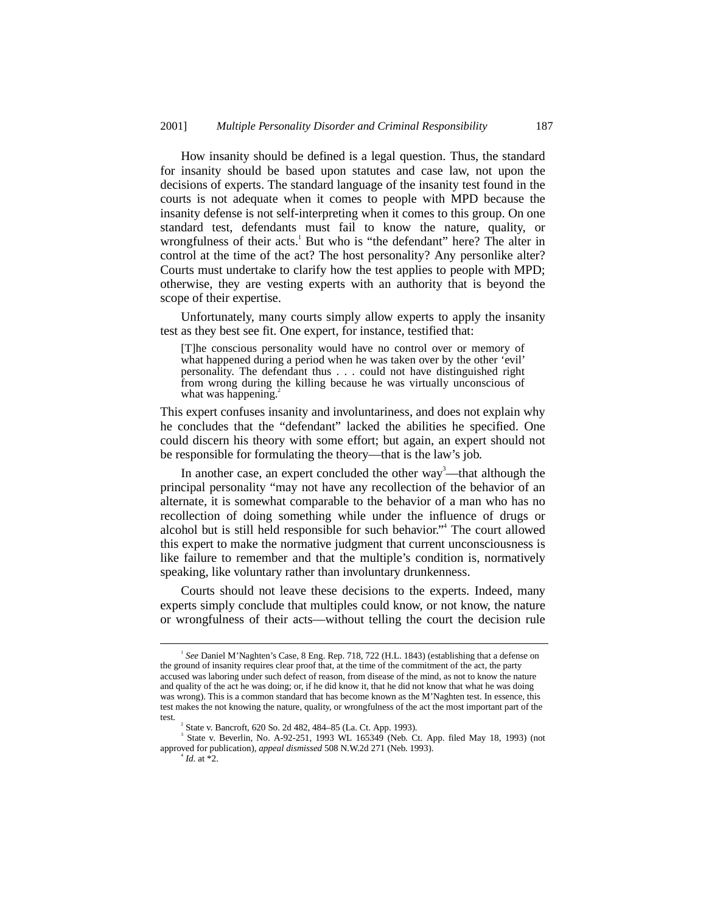How insanity should be defined is a legal question. Thus, the standard for insanity should be based upon statutes and case law, not upon the decisions of experts. The standard language of the insanity test found in the courts is not adequate when it comes to people with MPD because the insanity defense is not self-interpreting when it comes to this group. On one standard test, defendants must fail to know the nature, quality, or wrongfulness of their acts.<sup>1</sup> But who is "the defendant" here? The alter in control at the time of the act? The host personality? Any personlike alter? Courts must undertake to clarify how the test applies to people with MPD; otherwise, they are vesting experts with an authority that is beyond the scope of their expertise.

Unfortunately, many courts simply allow experts to apply the insanity test as they best see fit. One expert, for instance, testified that:

[T]he conscious personality would have no control over or memory of what happened during a period when he was taken over by the other 'evil' personality. The defendant thus . . . could not have distinguished right from wrong during the killing because he was virtually unconscious of what was happening.<sup>2</sup>

This expert confuses insanity and involuntariness, and does not explain why he concludes that the "defendant" lacked the abilities he specified. One could discern his theory with some effort; but again, an expert should not be responsible for formulating the theory—that is the law's job.

In another case, an expert concluded the other way<sup>3</sup>—that although the principal personality "may not have any recollection of the behavior of an alternate, it is somewhat comparable to the behavior of a man who has no recollection of doing something while under the influence of drugs or alcohol but is still held responsible for such behavior." 4 The court allowed this expert to make the normative judgment that current unconsciousness is like failure to remember and that the multiple's condition is, normatively speaking, like voluntary rather than involuntary drunkenness.

Courts should not leave these decisions to the experts. Indeed, many experts simply conclude that multiples could know, or not know, the nature or wrongfulness of their acts—without telling the court the decision rule

 $\overline{\phantom{a}}$ *See* Daniel M'Naghten's Case, 8 Eng. Rep. 718, 722 (H.L. 1843) (establishing that a defense on the ground of insanity requires clear proof that, at the time of the commitment of the act, the party accused was laboring under such defect of reason, from disease of the mind, as not to know the nature and quality of the act he was doing; or, if he did know it, that he did not know that what he was doing was wrong). This is a common standard that has become known as the M'Naghten test. In essence, this test makes the not knowing the nature, quality, or wrongfulness of the act the most important part of the test.

State v. Bancroft, 620 So. 2d 482, 484–85 (La. Ct. App. 1993). <sup>3</sup>

 $3$  State v. Beverlin, No. A-92-251, 1993 WL 165349 (Neb. Ct. App. filed May 18, 1993) (not approved for publication), *appeal dismissed* 508 N.W.2d 271 (Neb. 1993). <sup>4</sup>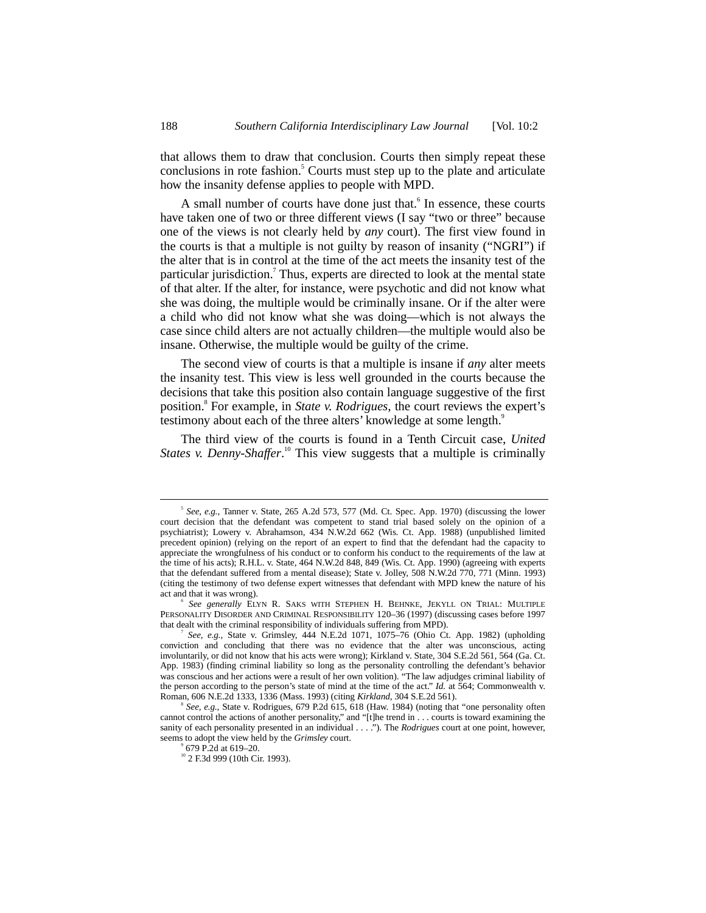that allows them to draw that conclusion. Courts then simply repeat these conclusions in rote fashion.<sup>5</sup> Courts must step up to the plate and articulate how the insanity defense applies to people with MPD.

A small number of courts have done just that.<sup>6</sup> In essence, these courts have taken one of two or three different views (I say "two or three" because one of the views is not clearly held by *any* court). The first view found in the courts is that a multiple is not guilty by reason of insanity ("NGRI") if the alter that is in control at the time of the act meets the insanity test of the particular jurisdiction.<sup>7</sup> Thus, experts are directed to look at the mental state of that alter. If the alter, for instance, were psychotic and did not know what she was doing, the multiple would be criminally insane. Or if the alter were a child who did not know what she was doing—which is not always the case since child alters are not actually children—the multiple would also be insane. Otherwise, the multiple would be guilty of the crime.

The second view of courts is that a multiple is insane if *any* alter meets the insanity test. This view is less well grounded in the courts because the decisions that take this position also contain language suggestive of the first position.<sup>8</sup> For example, in *State v. Rodrigues*, the court reviews the expert's testimony about each of the three alters' knowledge at some length.<sup>9</sup>

The third view of the courts is found in a Tenth Circuit case, *United States v. Denny-Shaffer*. 10 This view suggests that a multiple is criminally

 $\overline{\phantom{a}}$ <sub>5</sub> *See, e.g.*, Tanner v. State, 265 A.2d 573, 577 (Md. Ct. Spec. App. 1970) (discussing the lower court decision that the defendant was competent to stand trial based solely on the opinion of a psychiatrist); Lowery v. Abrahamson, 434 N.W.2d 662 (Wis. Ct. App. 1988) (unpublished limited precedent opinion) (relying on the report of an expert to find that the defendant had the capacity to appreciate the wrongfulness of his conduct or to conform his conduct to the requirements of the law at the time of his acts); R.H.L. v. State, 464 N.W.2d 848, 849 (Wis. Ct. App. 1990) (agreeing with experts that the defendant suffered from a mental disease); State v. Jolley, 508 N.W.2d 770, 771 (Minn. 1993) (citing the testimony of two defense expert witnesses that defendant with MPD knew the nature of his act and that it was wrong).

*See generally* ELYN R. SAKS WITH STEPHEN H. BEHNKE, JEKYLL ON TRIAL: MULTIPLE PERSONALITY DISORDER AND CRIMINAL RESPONSIBILITY 120–36 (1997) (discussing cases before 1997 that dealt with the criminal responsibility of individuals suffering from MPD). <sup>7</sup>

*See, e.g.*, State v. Grimsley, 444 N.E.2d 1071, 1075–76 (Ohio Ct. App. 1982) (upholding conviction and concluding that there was no evidence that the alter was unconscious, acting involuntarily, or did not know that his acts were wrong); Kirkland v. State, 304 S.E.2d 561, 564 (Ga. Ct. App. 1983) (finding criminal liability so long as the personality controlling the defendant's behavior was conscious and her actions were a result of her own volition). "The law adjudges criminal liability of the person according to the person's state of mind at the time of the act." *Id.* at 564; Commonwealth v. Roman, 606 N.E.2d 1333, 1336 (Mass. 1993) (citing *Kirkland*, 304 S.E.2d 561). <sup>8</sup>

*See, e.g.*, State v. Rodrigues, 679 P.2d 615, 618 (Haw. 1984) (noting that "one personality often cannot control the actions of another personality," and "[t]he trend in . . . courts is toward examining the sanity of each personality presented in an individual . . . ."). The *Rodrigues* court at one point, however, seems to adopt the view held by the *Grimsley* court.

<sup>9</sup>

<sup>&</sup>lt;sup>10</sup> 2 F.3d 999 (10th Cir. 1993).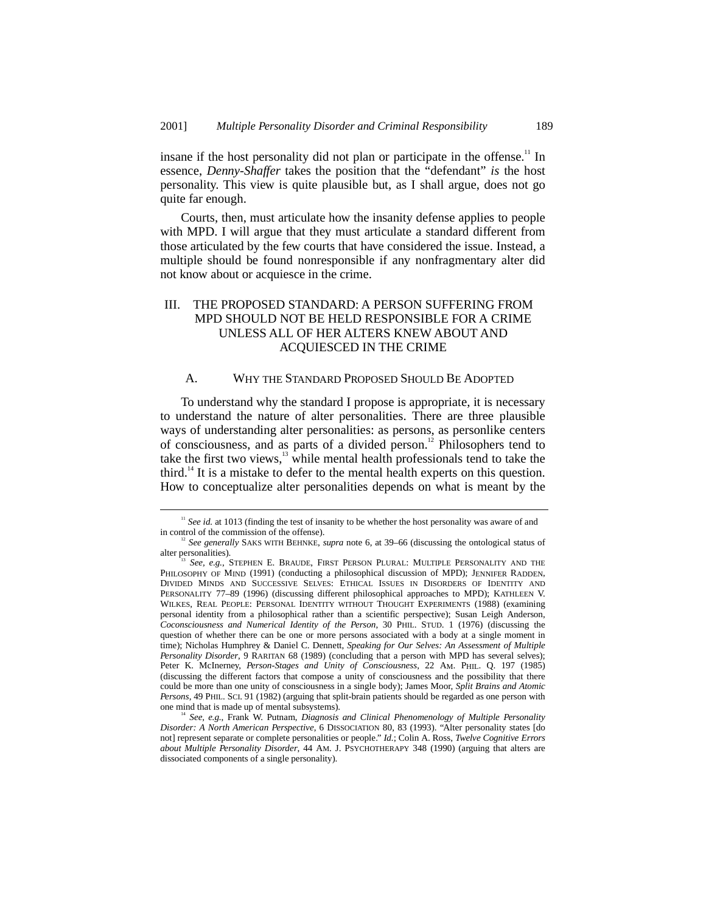insane if the host personality did not plan or participate in the offense.<sup>11</sup> In essence, *Denny-Shaffer* takes the position that the "defendant" *is* the host personality. This view is quite plausible but, as I shall argue, does not go quite far enough.

Courts, then, must articulate how the insanity defense applies to people with MPD. I will argue that they must articulate a standard different from those articulated by the few courts that have considered the issue. Instead, a multiple should be found nonresponsible if any nonfragmentary alter did not know about or acquiesce in the crime.

# III. THE PROPOSED STANDARD: A PERSON SUFFERING FROM MPD SHOULD NOT BE HELD RESPONSIBLE FOR A CRIME UNLESS ALL OF HER ALTERS KNEW ABOUT AND ACQUIESCED IN THE CRIME

#### A. WHY THE STANDARD PROPOSED SHOULD BE ADOPTED

To understand why the standard I propose is appropriate, it is necessary to understand the nature of alter personalities. There are three plausible ways of understanding alter personalities: as persons, as personlike centers of consciousness, and as parts of a divided person.12 Philosophers tend to take the first two views, $13$  while mental health professionals tend to take the third.<sup>14</sup> It is a mistake to defer to the mental health experts on this question. How to conceptualize alter personalities depends on what is meant by the

<sup>&</sup>lt;sup>11</sup> See id. at 1013 (finding the test of insanity to be whether the host personality was aware of and in control of the commission of the offense).

<sup>&</sup>lt;sup>12</sup> See generally SAKS WITH BEHNKE, *supra* note 6, at 39–66 (discussing the ontological status of alter personalities).

See, e.g., STEPHEN E. BRAUDE, FIRST PERSON PLURAL: MULTIPLE PERSONALITY AND THE PHILOSOPHY OF MIND (1991) (conducting a philosophical discussion of MPD); JENNIFER RADDEN, DIVIDED MINDS AND SUCCESSIVE SELVES: ETHICAL ISSUES IN DISORDERS OF IDENTITY AND PERSONALITY 77–89 (1996) (discussing different philosophical approaches to MPD); KATHLEEN V. WILKES, REAL PEOPLE: PERSONAL IDENTITY WITHOUT THOUGHT EXPERIMENTS (1988) (examining personal identity from a philosophical rather than a scientific perspective); Susan Leigh Anderson, *Coconsciousness and Numerical Identity of the Person*, 30 PHIL. STUD. 1 (1976) (discussing the question of whether there can be one or more persons associated with a body at a single moment in time); Nicholas Humphrey & Daniel C. Dennett, *Speaking for Our Selves: An Assessment of Multiple Personality Disorder*, 9 RARITAN 68 (1989) (concluding that a person with MPD has several selves); Peter K. McInerney, *Person-Stages and Unity of Consciousness*, 22 AM. PHIL. Q. 197 (1985) (discussing the different factors that compose a unity of consciousness and the possibility that there could be more than one unity of consciousness in a single body); James Moor, *Split Brains and Atomic Persons*, 49 PHIL. SCI. 91 (1982) (arguing that split-brain patients should be regarded as one person with

<sup>&</sup>lt;sup>4</sup> See, e.g., Frank W. Putnam, *Diagnosis and Clinical Phenomenology of Multiple Personality Disorder: A North American Perspective*, 6 DISSOCIATION 80, 83 (1993). "Alter personality states [do not] represent separate or complete personalities or people." *Id.*; Colin A. Ross, *Twelve Cognitive Errors about Multiple Personality Disorder*, 44 AM. J. PSYCHOTHERAPY 348 (1990) (arguing that alters are dissociated components of a single personality).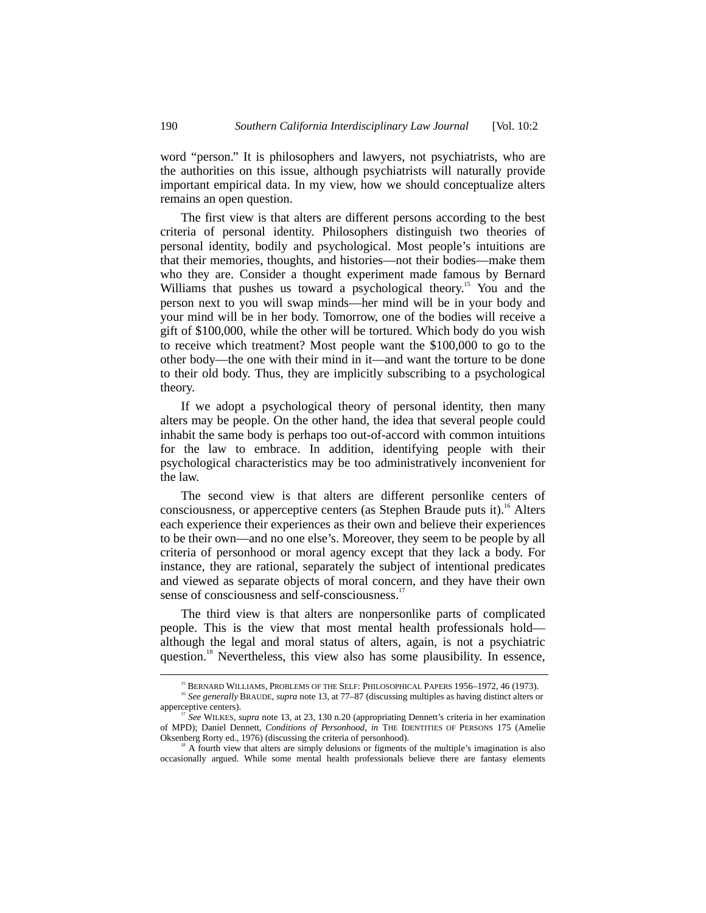word "person." It is philosophers and lawyers, not psychiatrists, who are the authorities on this issue, although psychiatrists will naturally provide important empirical data. In my view, how we should conceptualize alters remains an open question.

The first view is that alters are different persons according to the best criteria of personal identity. Philosophers distinguish two theories of personal identity, bodily and psychological. Most people's intuitions are that their memories, thoughts, and histories—not their bodies—make them who they are. Consider a thought experiment made famous by Bernard Williams that pushes us toward a psychological theory.<sup>15</sup> You and the person next to you will swap minds—her mind will be in your body and your mind will be in her body. Tomorrow, one of the bodies will receive a gift of \$100,000, while the other will be tortured. Which body do you wish to receive which treatment? Most people want the \$100,000 to go to the other body—the one with their mind in it—and want the torture to be done to their old body. Thus, they are implicitly subscribing to a psychological theory.

If we adopt a psychological theory of personal identity, then many alters may be people. On the other hand, the idea that several people could inhabit the same body is perhaps too out-of-accord with common intuitions for the law to embrace. In addition, identifying people with their psychological characteristics may be too administratively inconvenient for the law.

The second view is that alters are different personlike centers of consciousness, or apperceptive centers (as Stephen Braude puts it).<sup>16</sup> Alters each experience their experiences as their own and believe their experiences to be their own—and no one else's. Moreover, they seem to be people by all criteria of personhood or moral agency except that they lack a body. For instance, they are rational, separately the subject of intentional predicates and viewed as separate objects of moral concern, and they have their own sense of consciousness and self-consciousness.<sup>17</sup>

The third view is that alters are nonpersonlike parts of complicated people. This is the view that most mental health professionals hold although the legal and moral status of alters, again, is not a psychiatric question.<sup>18</sup> Nevertheless, this view also has some plausibility. In essence,

<sup>&</sup>lt;sup>15</sup> BERNARD WILLIAMS, PROBLEMS OF THE SELF: PHILOSOPHICAL PAPERS 1956-1972, 46 (1973).

<sup>&</sup>lt;sup>16</sup> See generally BRAUDE, *supra* note 13, at 77–87 (discussing multiples as having distinct alters or apperceptive centers).

<sup>&</sup>lt;sup>17</sup> See WILKES, *supra* note 13, at 23, 130 n.20 (appropriating Dennett's criteria in her examination of MPD); Daniel Dennett, *Conditions of Personhood*, *in* THE IDENTITIES OF PERSONS 175 (Amelie Oksenberg Rorty ed., 1976) (discussing the criteria of personhood).

<sup>&</sup>lt;sup>18</sup> A fourth view that alters are simply delusions or figments of the multiple's imagination is also occasionally argued. While some mental health professionals believe there are fantasy elements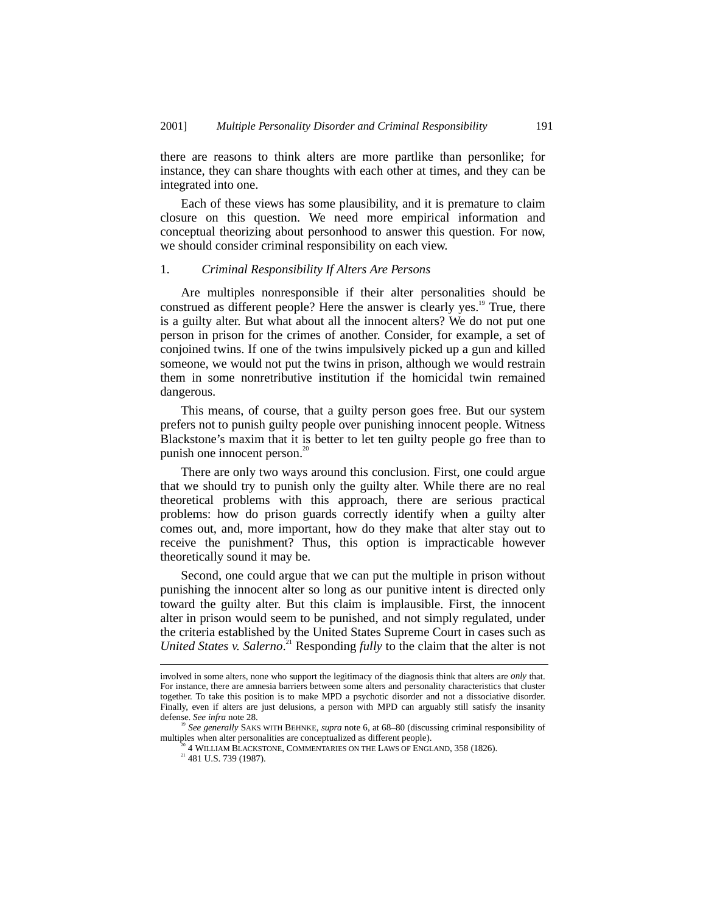there are reasons to think alters are more partlike than personlike; for instance, they can share thoughts with each other at times, and they can be integrated into one.

Each of these views has some plausibility, and it is premature to claim closure on this question. We need more empirical information and conceptual theorizing about personhood to answer this question. For now, we should consider criminal responsibility on each view.

#### 1. *Criminal Responsibility If Alters Are Persons*

Are multiples nonresponsible if their alter personalities should be construed as different people? Here the answer is clearly yes.<sup>19</sup> True, there is a guilty alter. But what about all the innocent alters? We do not put one person in prison for the crimes of another. Consider, for example, a set of conjoined twins. If one of the twins impulsively picked up a gun and killed someone, we would not put the twins in prison, although we would restrain them in some nonretributive institution if the homicidal twin remained dangerous.

This means, of course, that a guilty person goes free. But our system prefers not to punish guilty people over punishing innocent people. Witness Blackstone's maxim that it is better to let ten guilty people go free than to punish one innocent person.<sup>20</sup>

There are only two ways around this conclusion. First, one could argue that we should try to punish only the guilty alter. While there are no real theoretical problems with this approach, there are serious practical problems: how do prison guards correctly identify when a guilty alter comes out, and, more important, how do they make that alter stay out to receive the punishment? Thus, this option is impracticable however theoretically sound it may be.

Second, one could argue that we can put the multiple in prison without punishing the innocent alter so long as our punitive intent is directed only toward the guilty alter. But this claim is implausible. First, the innocent alter in prison would seem to be punished, and not simply regulated, under the criteria established by the United States Supreme Court in cases such as United States v. Salerno.<sup>21</sup> Responding *fully* to the claim that the alter is not

involved in some alters, none who support the legitimacy of the diagnosis think that alters are *only* that. For instance, there are amnesia barriers between some alters and personality characteristics that cluster together. To take this position is to make MPD a psychotic disorder and not a dissociative disorder. Finally, even if alters are just delusions, a person with MPD can arguably still satisfy the insanity defense. *See infra* note 28.

<sup>19</sup> *See generally* SAKS WITH BEHNKE, *supra* note 6, at 68–80 (discussing criminal responsibility of multiples when alter personalities are conceptualized as different people).

<sup>&</sup>lt;sup>20</sup> 4 WILLIAM BLACKSTONE, COMMENTARIES ON THE LAWS OF ENGLAND, 358 (1826).<br><sup>21</sup> 481 U.S. 739 (1987).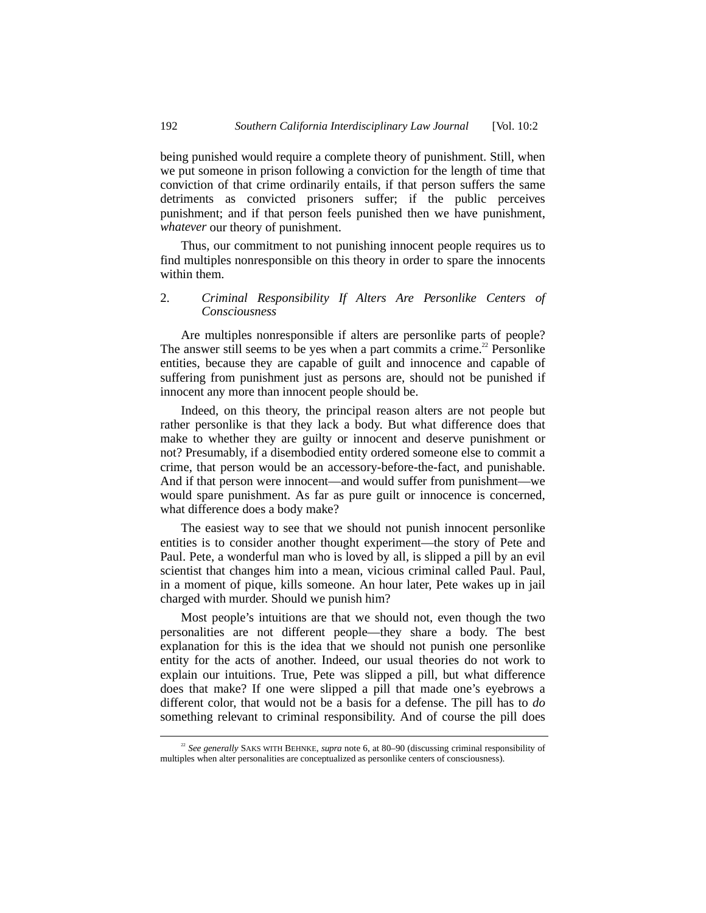being punished would require a complete theory of punishment. Still, when we put someone in prison following a conviction for the length of time that conviction of that crime ordinarily entails, if that person suffers the same detriments as convicted prisoners suffer; if the public perceives punishment; and if that person feels punished then we have punishment, *whatever* our theory of punishment.

Thus, our commitment to not punishing innocent people requires us to find multiples nonresponsible on this theory in order to spare the innocents within them.

# 2. *Criminal Responsibility If Alters Are Personlike Centers of Consciousness*

Are multiples nonresponsible if alters are personlike parts of people? The answer still seems to be yes when a part commits a crime.<sup>22</sup> Personlike entities, because they are capable of guilt and innocence and capable of suffering from punishment just as persons are, should not be punished if innocent any more than innocent people should be.

Indeed, on this theory, the principal reason alters are not people but rather personlike is that they lack a body. But what difference does that make to whether they are guilty or innocent and deserve punishment or not? Presumably, if a disembodied entity ordered someone else to commit a crime, that person would be an accessory-before-the-fact, and punishable. And if that person were innocent—and would suffer from punishment—we would spare punishment. As far as pure guilt or innocence is concerned, what difference does a body make?

The easiest way to see that we should not punish innocent personlike entities is to consider another thought experiment—the story of Pete and Paul. Pete, a wonderful man who is loved by all, is slipped a pill by an evil scientist that changes him into a mean, vicious criminal called Paul. Paul, in a moment of pique, kills someone. An hour later, Pete wakes up in jail charged with murder. Should we punish him?

Most people's intuitions are that we should not, even though the two personalities are not different people—they share a body. The best explanation for this is the idea that we should not punish one personlike entity for the acts of another. Indeed, our usual theories do not work to explain our intuitions. True, Pete was slipped a pill, but what difference does that make? If one were slipped a pill that made one's eyebrows a different color, that would not be a basis for a defense. The pill has to *do* something relevant to criminal responsibility. And of course the pill does

<sup>&</sup>lt;sup>22</sup> See generally SAKS WITH BEHNKE, *supra* note 6, at 80–90 (discussing criminal responsibility of multiples when alter personalities are conceptualized as personlike centers of consciousness).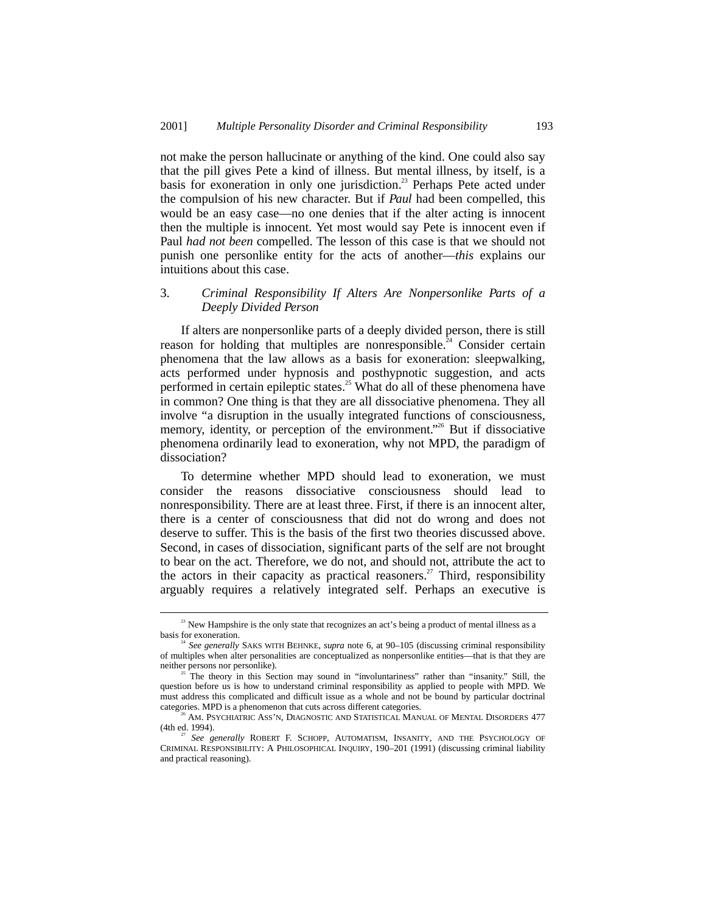not make the person hallucinate or anything of the kind. One could also say that the pill gives Pete a kind of illness. But mental illness, by itself, is a basis for exoneration in only one jurisdiction.<sup>23</sup> Perhaps Pete acted under the compulsion of his new character. But if *Paul* had been compelled, this would be an easy case—no one denies that if the alter acting is innocent then the multiple is innocent. Yet most would say Pete is innocent even if Paul *had not been* compelled. The lesson of this case is that we should not punish one personlike entity for the acts of another—*this* explains our intuitions about this case.

### 3. *Criminal Responsibility If Alters Are Nonpersonlike Parts of a Deeply Divided Person*

If alters are nonpersonlike parts of a deeply divided person, there is still reason for holding that multiples are nonresponsible.<sup>24</sup> Consider certain phenomena that the law allows as a basis for exoneration: sleepwalking, acts performed under hypnosis and posthypnotic suggestion, and acts performed in certain epileptic states.<sup>25</sup> What do all of these phenomena have in common? One thing is that they are all dissociative phenomena. They all involve "a disruption in the usually integrated functions of consciousness, memory, identity, or perception of the environment."<sup>26</sup> But if dissociative phenomena ordinarily lead to exoneration, why not MPD, the paradigm of dissociation?

To determine whether MPD should lead to exoneration, we must consider the reasons dissociative consciousness should lead to nonresponsibility. There are at least three. First, if there is an innocent alter, there is a center of consciousness that did not do wrong and does not deserve to suffer. This is the basis of the first two theories discussed above. Second, in cases of dissociation, significant parts of the self are not brought to bear on the act. Therefore, we do not, and should not, attribute the act to the actors in their capacity as practical reasoners.<sup>27</sup> Third, responsibility arguably requires a relatively integrated self. Perhaps an executive is

<sup>&</sup>lt;sup>23</sup> New Hampshire is the only state that recognizes an act's being a product of mental illness as a basis for exoneration.

<sup>24</sup> *See generally* SAKS WITH BEHNKE, *supra* note 6, at 90–105 (discussing criminal responsibility of multiples when alter personalities are conceptualized as nonpersonlike entities—that is that they are neither persons nor personlike).

<sup>25</sup> The theory in this Section may sound in "involuntariness" rather than "insanity." Still, the question before us is how to understand criminal responsibility as applied to people with MPD. We must address this complicated and difficult issue as a whole and not be bound by particular doctrinal categories. MPD is a phenomenon that cuts across different categories.

 $^{26}$  AM. PSYCHIATRIC ASS'N, DIAGNOSTIC AND STATISTICAL MANUAL OF MENTAL DISORDERS 477 (4th ed. 1994).

See generally ROBERT F. SCHOPP, AUTOMATISM, INSANITY, AND THE PSYCHOLOGY OF CRIMINAL RESPONSIBILITY: A PHILOSOPHICAL INQUIRY, 190–201 (1991) (discussing criminal liability and practical reasoning).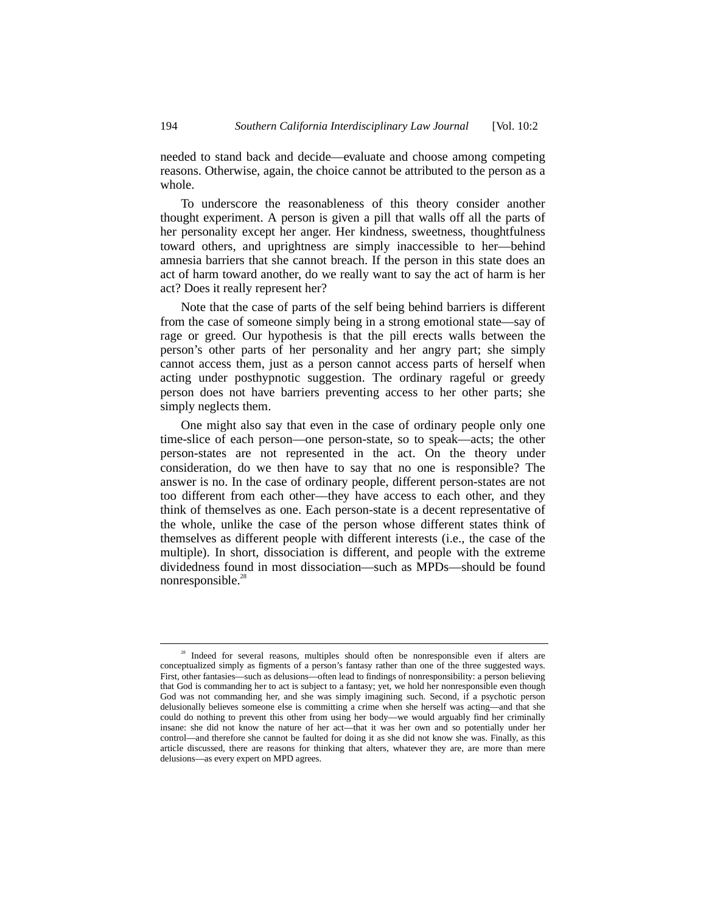needed to stand back and decide—evaluate and choose among competing reasons. Otherwise, again, the choice cannot be attributed to the person as a whole.

To underscore the reasonableness of this theory consider another thought experiment. A person is given a pill that walls off all the parts of her personality except her anger. Her kindness, sweetness, thoughtfulness toward others, and uprightness are simply inaccessible to her—behind amnesia barriers that she cannot breach. If the person in this state does an act of harm toward another, do we really want to say the act of harm is her act? Does it really represent her?

Note that the case of parts of the self being behind barriers is different from the case of someone simply being in a strong emotional state—say of rage or greed. Our hypothesis is that the pill erects walls between the person's other parts of her personality and her angry part; she simply cannot access them, just as a person cannot access parts of herself when acting under posthypnotic suggestion. The ordinary rageful or greedy person does not have barriers preventing access to her other parts; she simply neglects them.

One might also say that even in the case of ordinary people only one time-slice of each person—one person-state, so to speak—acts; the other person-states are not represented in the act. On the theory under consideration, do we then have to say that no one is responsible? The answer is no. In the case of ordinary people, different person-states are not too different from each other––they have access to each other, and they think of themselves as one. Each person-state is a decent representative of the whole, unlike the case of the person whose different states think of themselves as different people with different interests (i.e., the case of the multiple). In short, dissociation is different, and people with the extreme dividedness found in most dissociation—such as MPDs—should be found nonresponsible.<sup>28</sup>

Indeed for several reasons, multiples should often be nonresponsible even if alters are conceptualized simply as figments of a person's fantasy rather than one of the three suggested ways. First, other fantasies—such as delusions—often lead to findings of nonresponsibility: a person believing that God is commanding her to act is subject to a fantasy; yet, we hold her nonresponsible even though God was not commanding her, and she was simply imagining such. Second, if a psychotic person delusionally believes someone else is committing a crime when she herself was acting—and that she could do nothing to prevent this other from using her body—we would arguably find her criminally insane: she did not know the nature of her act—that it was her own and so potentially under her control—and therefore she cannot be faulted for doing it as she did not know she was. Finally, as this article discussed, there are reasons for thinking that alters, whatever they are, are more than mere delusions—as every expert on MPD agrees.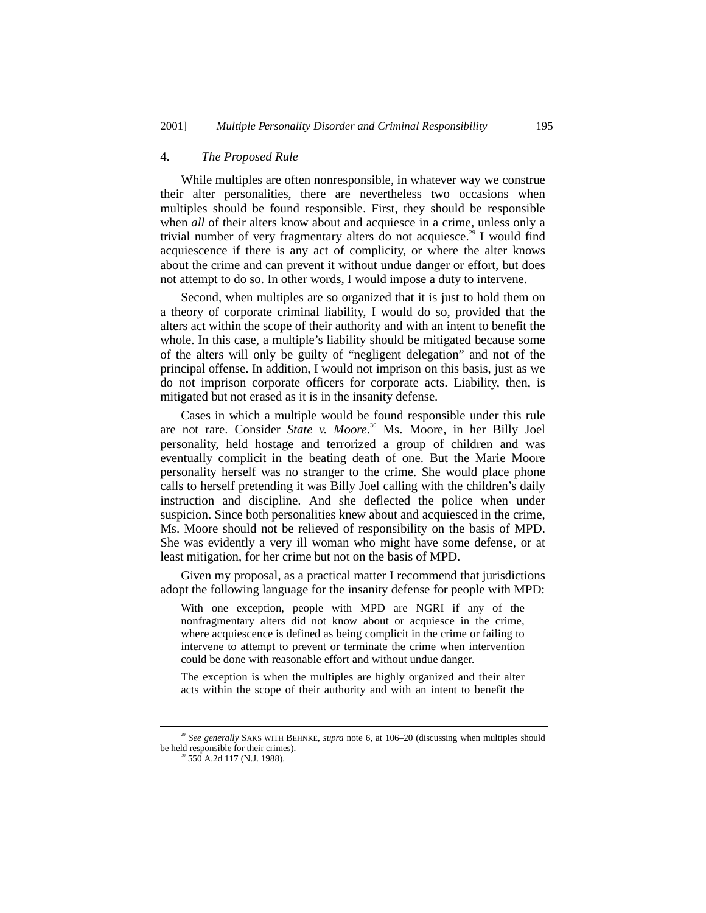#### 4. *The Proposed Rule*

While multiples are often nonresponsible, in whatever way we construe their alter personalities, there are nevertheless two occasions when multiples should be found responsible. First, they should be responsible when *all* of their alters know about and acquiesce in a crime, unless only a trivial number of very fragmentary alters do not acquiesce.<sup>29</sup> I would find acquiescence if there is any act of complicity, or where the alter knows about the crime and can prevent it without undue danger or effort, but does not attempt to do so. In other words, I would impose a duty to intervene.

Second, when multiples are so organized that it is just to hold them on a theory of corporate criminal liability, I would do so, provided that the alters act within the scope of their authority and with an intent to benefit the whole. In this case, a multiple's liability should be mitigated because some of the alters will only be guilty of "negligent delegation" and not of the principal offense. In addition, I would not imprison on this basis, just as we do not imprison corporate officers for corporate acts. Liability, then, is mitigated but not erased as it is in the insanity defense.

Cases in which a multiple would be found responsible under this rule are not rare. Consider *State v. Moore*.<sup>30</sup> Ms. Moore, in her Billy Joel personality, held hostage and terrorized a group of children and was eventually complicit in the beating death of one. But the Marie Moore personality herself was no stranger to the crime. She would place phone calls to herself pretending it was Billy Joel calling with the children's daily instruction and discipline. And she deflected the police when under suspicion. Since both personalities knew about and acquiesced in the crime, Ms. Moore should not be relieved of responsibility on the basis of MPD. She was evidently a very ill woman who might have some defense, or at least mitigation, for her crime but not on the basis of MPD.

Given my proposal, as a practical matter I recommend that jurisdictions adopt the following language for the insanity defense for people with MPD:

With one exception, people with MPD are NGRI if any of the nonfragmentary alters did not know about or acquiesce in the crime, where acquiescence is defined as being complicit in the crime or failing to intervene to attempt to prevent or terminate the crime when intervention could be done with reasonable effort and without undue danger.

The exception is when the multiples are highly organized and their alter acts within the scope of their authority and with an intent to benefit the

 <sup>29</sup> *See generally* SAKS WITH BEHNKE, *supra* note 6, at 106–20 (discussing when multiples should be held responsible for their crimes).<br><sup>30</sup> 550 A.2d 117 (N.J. 1988).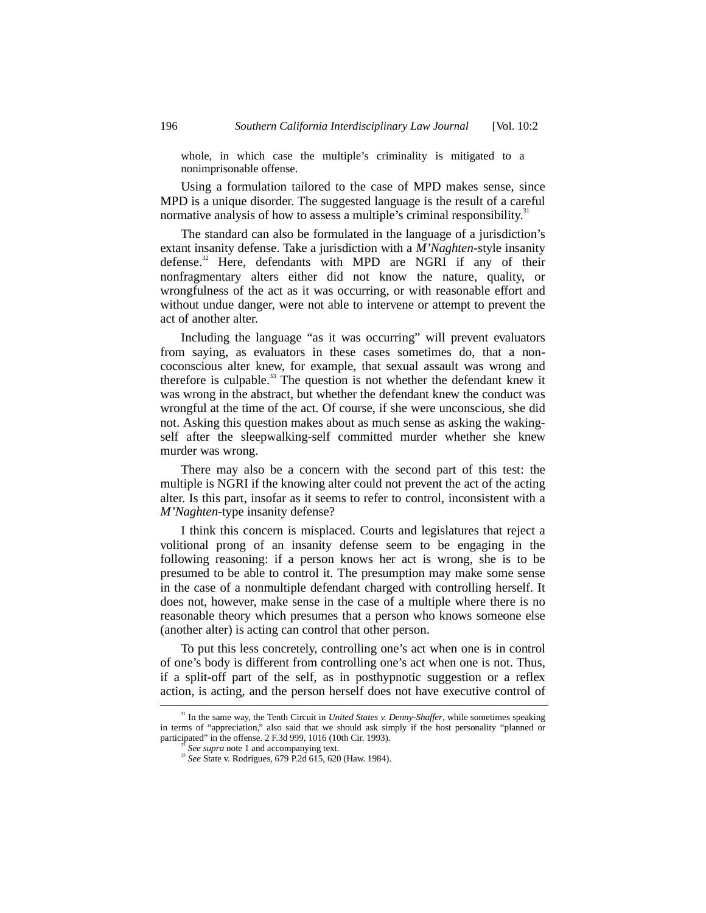whole, in which case the multiple's criminality is mitigated to a nonimprisonable offense.

Using a formulation tailored to the case of MPD makes sense, since MPD is a unique disorder. The suggested language is the result of a careful normative analysis of how to assess a multiple's criminal responsibility.<sup>31</sup>

The standard can also be formulated in the language of a jurisdiction's extant insanity defense. Take a jurisdiction with a *M'Naghten*-style insanity defense.<sup>32</sup> Here, defendants with MPD are NGRI if any of their nonfragmentary alters either did not know the nature, quality, or wrongfulness of the act as it was occurring, or with reasonable effort and without undue danger, were not able to intervene or attempt to prevent the act of another alter.

Including the language "as it was occurring" will prevent evaluators from saying, as evaluators in these cases sometimes do, that a noncoconscious alter knew, for example, that sexual assault was wrong and therefore is culpable. $^{33}$  The question is not whether the defendant knew it was wrong in the abstract, but whether the defendant knew the conduct was wrongful at the time of the act. Of course, if she were unconscious, she did not. Asking this question makes about as much sense as asking the wakingself after the sleepwalking-self committed murder whether she knew murder was wrong.

There may also be a concern with the second part of this test: the multiple is NGRI if the knowing alter could not prevent the act of the acting alter. Is this part, insofar as it seems to refer to control, inconsistent with a *M'Naghten*-type insanity defense?

I think this concern is misplaced. Courts and legislatures that reject a volitional prong of an insanity defense seem to be engaging in the following reasoning: if a person knows her act is wrong, she is to be presumed to be able to control it. The presumption may make some sense in the case of a nonmultiple defendant charged with controlling herself. It does not, however, make sense in the case of a multiple where there is no reasonable theory which presumes that a person who knows someone else (another alter) is acting can control that other person.

To put this less concretely, controlling one's act when one is in control of one's body is different from controlling one's act when one is not. Thus, if a split-off part of the self, as in posthypnotic suggestion or a reflex action, is acting, and the person herself does not have executive control of

<sup>&</sup>lt;sup>31</sup> In the same way, the Tenth Circuit in *United States v. Denny-Shaffer*, while sometimes speaking in terms of "appreciation," also said that we should ask simply if the host personality "planned or participated" in the offense. 2 F.3d 999, 1016 (10th Cir. 1993).<br><sup>32</sup> See supra note 1 and accompanying text.

<sup>&</sup>lt;sup>33</sup> *See State v. Rodrigues, 679 P.2d 615, 620 (Haw. 1984).*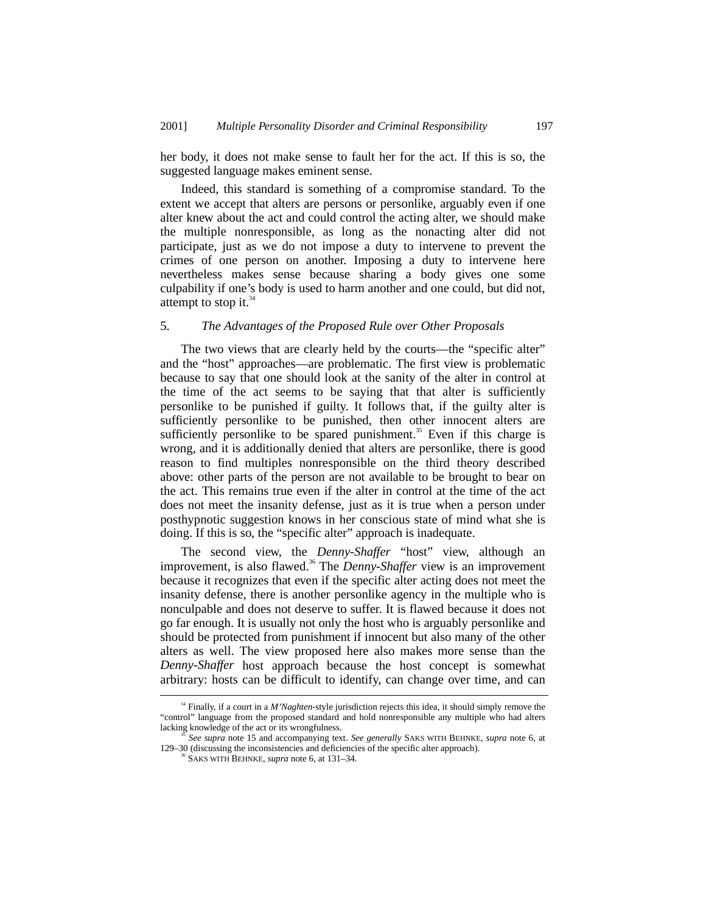her body, it does not make sense to fault her for the act. If this is so, the suggested language makes eminent sense.

Indeed, this standard is something of a compromise standard. To the extent we accept that alters are persons or personlike, arguably even if one alter knew about the act and could control the acting alter, we should make the multiple nonresponsible, as long as the nonacting alter did not participate, just as we do not impose a duty to intervene to prevent the crimes of one person on another. Imposing a duty to intervene here nevertheless makes sense because sharing a body gives one some culpability if one's body is used to harm another and one could, but did not, attempt to stop it. $34$ 

#### 5. *The Advantages of the Proposed Rule over Other Proposals*

The two views that are clearly held by the courts—the "specific alter" and the "host" approaches—are problematic. The first view is problematic because to say that one should look at the sanity of the alter in control at the time of the act seems to be saying that that alter is sufficiently personlike to be punished if guilty. It follows that, if the guilty alter is sufficiently personlike to be punished, then other innocent alters are sufficiently personlike to be spared punishment.<sup>35</sup> Even if this charge is wrong, and it is additionally denied that alters are personlike, there is good reason to find multiples nonresponsible on the third theory described above: other parts of the person are not available to be brought to bear on the act. This remains true even if the alter in control at the time of the act does not meet the insanity defense, just as it is true when a person under posthypnotic suggestion knows in her conscious state of mind what she is doing. If this is so, the "specific alter" approach is inadequate.

The second view, the *Denny-Shaffer* "host" view, although an improvement, is also flawed.<sup>36</sup> The *Denny-Shaffer* view is an improvement because it recognizes that even if the specific alter acting does not meet the insanity defense, there is another personlike agency in the multiple who is nonculpable and does not deserve to suffer. It is flawed because it does not go far enough. It is usually not only the host who is arguably personlike and should be protected from punishment if innocent but also many of the other alters as well. The view proposed here also makes more sense than the *Denny-Shaffer* host approach because the host concept is somewhat arbitrary: hosts can be difficult to identify, can change over time, and can

<sup>&</sup>lt;sup>34</sup> Finally, if a court in a *M'Naghten*-style jurisdiction rejects this idea, it should simply remove the "control" language from the proposed standard and hold nonresponsible any multiple who had alters

See supra note 15 and accompanying text. See generally SAKS WITH BEHNKE, supra note 6, at 129–30 (discussing the inconsistencies and deficiencies of the specific alter approach).

<sup>36</sup> SAKS WITH BEHNKE, *supra* note 6, at 131–34.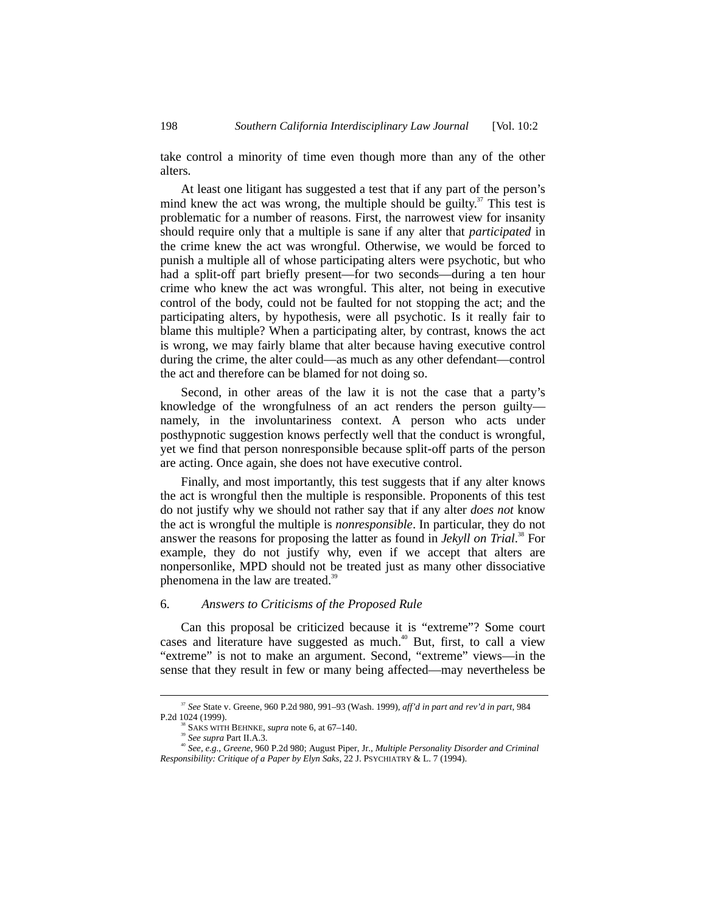take control a minority of time even though more than any of the other alters.

At least one litigant has suggested a test that if any part of the person's mind knew the act was wrong, the multiple should be guilty.<sup>37</sup> This test is problematic for a number of reasons. First, the narrowest view for insanity should require only that a multiple is sane if any alter that *participated* in the crime knew the act was wrongful. Otherwise, we would be forced to punish a multiple all of whose participating alters were psychotic, but who had a split-off part briefly present—for two seconds—during a ten hour crime who knew the act was wrongful. This alter, not being in executive control of the body, could not be faulted for not stopping the act; and the participating alters, by hypothesis, were all psychotic. Is it really fair to blame this multiple? When a participating alter, by contrast, knows the act is wrong, we may fairly blame that alter because having executive control during the crime, the alter could—as much as any other defendant—control the act and therefore can be blamed for not doing so.

Second, in other areas of the law it is not the case that a party's knowledge of the wrongfulness of an act renders the person guilty namely, in the involuntariness context. A person who acts under posthypnotic suggestion knows perfectly well that the conduct is wrongful, yet we find that person nonresponsible because split-off parts of the person are acting. Once again, she does not have executive control.

Finally, and most importantly, this test suggests that if any alter knows the act is wrongful then the multiple is responsible. Proponents of this test do not justify why we should not rather say that if any alter *does not* know the act is wrongful the multiple is *nonresponsible*. In particular, they do not answer the reasons for proposing the latter as found in *Jekyll on Trial*. 38 For example, they do not justify why, even if we accept that alters are nonpersonlike, MPD should not be treated just as many other dissociative phenomena in the law are treated.<sup>39</sup>

#### 6. *Answers to Criticisms of the Proposed Rule*

Can this proposal be criticized because it is "extreme"? Some court cases and literature have suggested as much.<sup>40</sup> But, first, to call a view "extreme" is not to make an argument. Second, "extreme" views—in the sense that they result in few or many being affected—may nevertheless be

 <sup>37</sup> *See* State v. Greene, 960 P.2d 980, 991–93 (Wash. 1999), *aff'd in part and rev'd in part*, 984 P.2d 1024 (1999).

<sup>&</sup>lt;sup>38</sup> SAKS WITH BEHNKE, *supra* note 6, at 67–140.<br><sup>39</sup> See *supra* Part II.A.3.

<sup>40</sup> *See, e.g.*, *Greene*, 960 P.2d 980; August Piper, Jr., *Multiple Personality Disorder and Criminal Responsibility: Critique of a Paper by Elyn Saks*, 22 J. PSYCHIATRY & L. 7 (1994).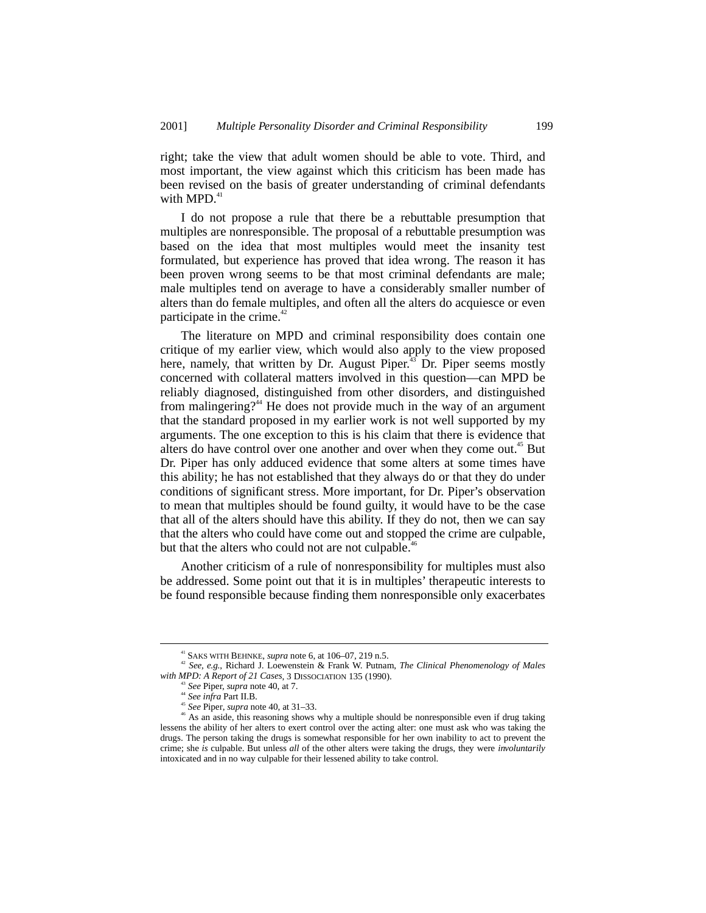right; take the view that adult women should be able to vote. Third, and most important, the view against which this criticism has been made has been revised on the basis of greater understanding of criminal defendants with MPD. $41$ 

I do not propose a rule that there be a rebuttable presumption that multiples are nonresponsible. The proposal of a rebuttable presumption was based on the idea that most multiples would meet the insanity test formulated, but experience has proved that idea wrong. The reason it has been proven wrong seems to be that most criminal defendants are male; male multiples tend on average to have a considerably smaller number of alters than do female multiples, and often all the alters do acquiesce or even participate in the crime. $42$ 

The literature on MPD and criminal responsibility does contain one critique of my earlier view, which would also apply to the view proposed here, namely, that written by Dr. August Piper.<sup>43</sup> Dr. Piper seems mostly concerned with collateral matters involved in this question—can MPD be reliably diagnosed, distinguished from other disorders, and distinguished from malingering?<sup>44</sup> He does not provide much in the way of an argument that the standard proposed in my earlier work is not well supported by my arguments. The one exception to this is his claim that there is evidence that alters do have control over one another and over when they come out.<sup>45</sup> But Dr. Piper has only adduced evidence that some alters at some times have this ability; he has not established that they always do or that they do under conditions of significant stress. More important, for Dr. Piper's observation to mean that multiples should be found guilty, it would have to be the case that all of the alters should have this ability. If they do not, then we can say that the alters who could have come out and stopped the crime are culpable, but that the alters who could not are not culpable.<sup>46</sup>

Another criticism of a rule of nonresponsibility for multiples must also be addressed. Some point out that it is in multiples' therapeutic interests to be found responsible because finding them nonresponsible only exacerbates

<sup>41</sup> SAKS WITH BEHNKE, *supra* note 6, at 106–07, 219 n.5. <sup>42</sup> *See, e.g.*, Richard J. Loewenstein & Frank W. Putnam, *The Clinical Phenomenology of Males with MPD: A Report of 21 Cases*, 3 DISSOCIATION 135 (1990).<br><sup>43</sup> *See* Piper, *supra* note 40, at 7.<br><sup>44</sup> *See infra* Part II.B.

<sup>&</sup>lt;sup>45</sup> See Piper, *supra* note 40, at 31–33.  $\frac{45}{10}$  and the should be nonresponsible even if drug taking  $\frac{46}{10}$  As an aside, this reasoning shows why a multiple should be nonresponsible even if drug taking lessens the ability of her alters to exert control over the acting alter: one must ask who was taking the drugs. The person taking the drugs is somewhat responsible for her own inability to act to prevent the crime; she *is* culpable. But unless *all* of the other alters were taking the drugs, they were *involuntarily* intoxicated and in no way culpable for their lessened ability to take control.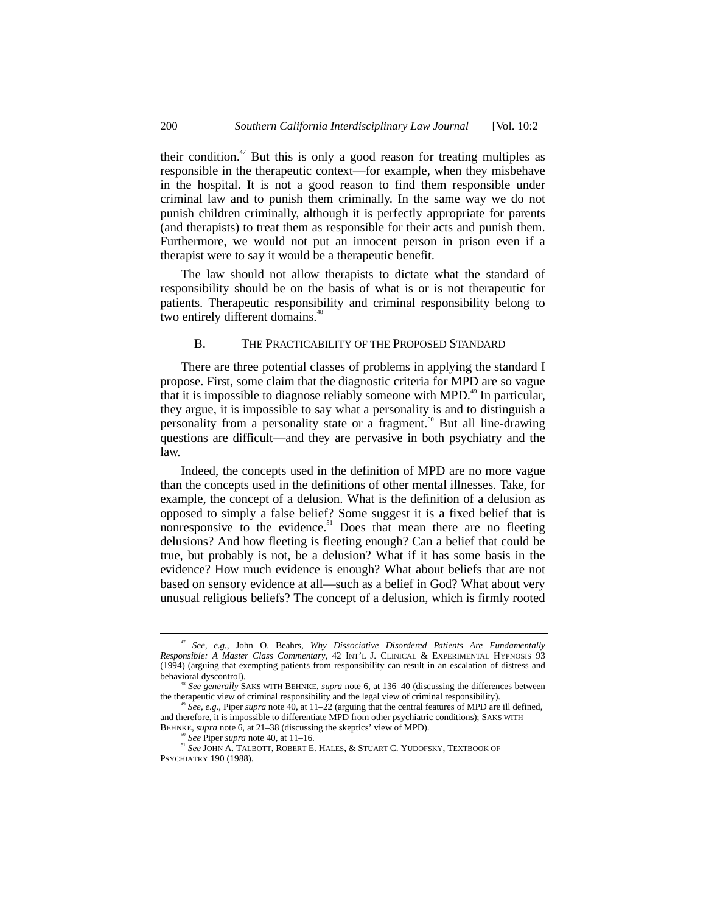their condition.<sup>47</sup> But this is only a good reason for treating multiples as responsible in the therapeutic context—for example, when they misbehave in the hospital. It is not a good reason to find them responsible under criminal law and to punish them criminally. In the same way we do not punish children criminally, although it is perfectly appropriate for parents (and therapists) to treat them as responsible for their acts and punish them. Furthermore, we would not put an innocent person in prison even if a therapist were to say it would be a therapeutic benefit.

The law should not allow therapists to dictate what the standard of responsibility should be on the basis of what is or is not therapeutic for patients. Therapeutic responsibility and criminal responsibility belong to two entirely different domains.<sup>48</sup>

#### B. THE PRACTICABILITY OF THE PROPOSED STANDARD

There are three potential classes of problems in applying the standard I propose. First, some claim that the diagnostic criteria for MPD are so vague that it is impossible to diagnose reliably someone with MPD.<sup>49</sup> In particular, they argue, it is impossible to say what a personality is and to distinguish a personality from a personality state or a fragment.<sup>50</sup> But all line-drawing questions are difficult—and they are pervasive in both psychiatry and the law.

Indeed, the concepts used in the definition of MPD are no more vague than the concepts used in the definitions of other mental illnesses. Take, for example, the concept of a delusion. What is the definition of a delusion as opposed to simply a false belief? Some suggest it is a fixed belief that is nonresponsive to the evidence.<sup>51</sup> Does that mean there are no fleeting delusions? And how fleeting is fleeting enough? Can a belief that could be true, but probably is not, be a delusion? What if it has some basis in the evidence? How much evidence is enough? What about beliefs that are not based on sensory evidence at all—such as a belief in God? What about very unusual religious beliefs? The concept of a delusion, which is firmly rooted

 <sup>47</sup> *See, e.g.*, John O. Beahrs, *Why Dissociative Disordered Patients Are Fundamentally Responsible: A Master Class Commentary*, 42 INT'L J. CLINICAL & EXPERIMENTAL HYPNOSIS 93 (1994) (arguing that exempting patients from responsibility can result in an escalation of distress and

<sup>&</sup>lt;sup>48</sup> See generally SAKS WITH BEHNKE, *supra* note 6, at 136–40 (discussing the differences between the therapeutic view of criminal responsibility and the legal view of criminal responsibility).

See, e.g., Piper *supra* note 40, at 11–22 (arguing that the central features of MPD are ill defined, and therefore, it is impossible to differentiate MPD from other psychiatric conditions); SAKS WITH

BEHNKE, *supra* note 6, at 21–38 (discussing the skeptics' view of MPD). <sup>50</sup> *See* Piper *supra* note 40, at 11–16.

<sup>51</sup> *See* JOHN A. TALBOTT, ROBERT E. HALES, & STUART C. YUDOFSKY, TEXTBOOK OF PSYCHIATRY 190 (1988).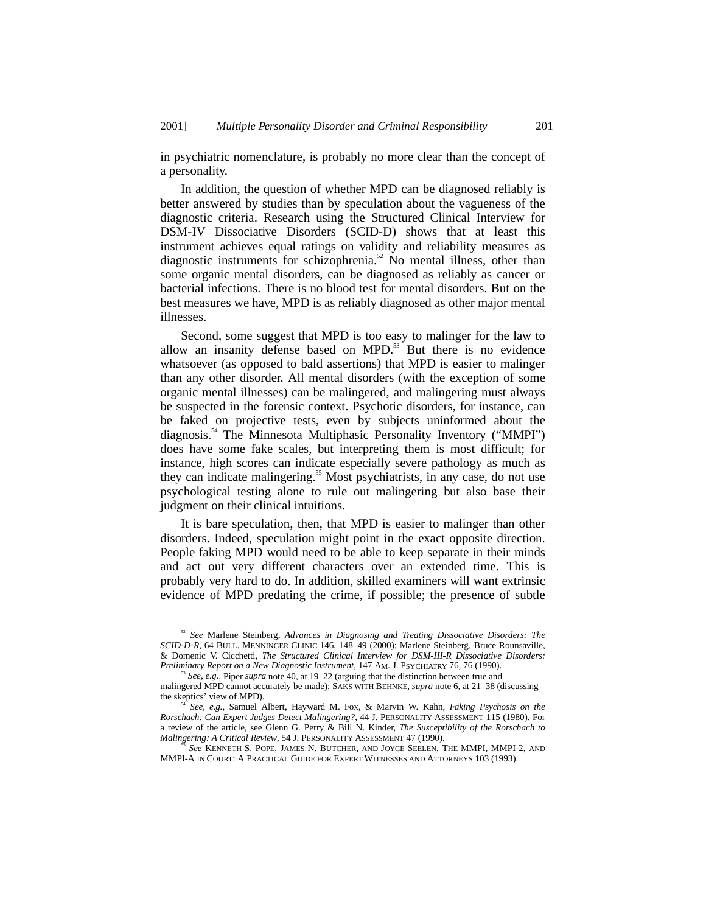in psychiatric nomenclature, is probably no more clear than the concept of a personality.

In addition, the question of whether MPD can be diagnosed reliably is better answered by studies than by speculation about the vagueness of the diagnostic criteria. Research using the Structured Clinical Interview for DSM-IV Dissociative Disorders (SCID-D) shows that at least this instrument achieves equal ratings on validity and reliability measures as diagnostic instruments for schizophrenia.<sup>52</sup> No mental illness, other than some organic mental disorders, can be diagnosed as reliably as cancer or bacterial infections. There is no blood test for mental disorders. But on the best measures we have, MPD is as reliably diagnosed as other major mental illnesses.

Second, some suggest that MPD is too easy to malinger for the law to allow an insanity defense based on MPD. $53$  But there is no evidence whatsoever (as opposed to bald assertions) that MPD is easier to malinger than any other disorder. All mental disorders (with the exception of some organic mental illnesses) can be malingered, and malingering must always be suspected in the forensic context. Psychotic disorders, for instance, can be faked on projective tests, even by subjects uninformed about the diagnosis.54 The Minnesota Multiphasic Personality Inventory ("MMPI") does have some fake scales, but interpreting them is most difficult; for instance, high scores can indicate especially severe pathology as much as they can indicate malingering.<sup>55</sup> Most psychiatrists, in any case, do not use psychological testing alone to rule out malingering but also base their judgment on their clinical intuitions.

It is bare speculation, then, that MPD is easier to malinger than other disorders. Indeed, speculation might point in the exact opposite direction. People faking MPD would need to be able to keep separate in their minds and act out very different characters over an extended time. This is probably very hard to do. In addition, skilled examiners will want extrinsic evidence of MPD predating the crime, if possible; the presence of subtle

 <sup>52</sup> *See* Marlene Steinberg, *Advances in Diagnosing and Treating Dissociative Disorders: The SCID-D-R*, 64 BULL. MENNINGER CLINIC 146, 148–49 (2000); Marlene Steinberg, Bruce Rounsaville, & Domenic V. Cicchetti, *The Structured Clinical Interview for DSM-III-R Dissociative Disorders: Preliminary Report on a New Diagnostic Instrument*, 147 AM. J. PSYCHIATRY 76, 76 (1990).

<sup>53</sup> *See, e.g.*, Piper *supra* note 40, at 19–22 (arguing that the distinction between true and malingered MPD cannot accurately be made); SAKS WITH BEHNKE, *supra* note 6, at 21–38 (discussing the skeptics' view of MPD).

the skeptics' view of MPD). <sup>54</sup> *See, e.g.*, Samuel Albert, Hayward M. Fox, & Marvin W. Kahn, *Faking Psychosis on the Rorschach: Can Expert Judges Detect Malingering?*, 44 J. PERSONALITY ASSESSMENT 115 (1980). For a review of the article, see Glenn G. Perry & Bill N. Kinder, *The Susceptibility of the Rorschach to Malingering: A Critical Review*, 54 J. PERSONALITY ASSESSMENT 47 (1990).

<sup>55</sup> *See* KENNETH S. POPE, JAMES N. BUTCHER, AND JOYCE SEELEN, THE MMPI, MMPI-2, AND MMPI-A IN COURT: A PRACTICAL GUIDE FOR EXPERT WITNESSES AND ATTORNEYS 103 (1993).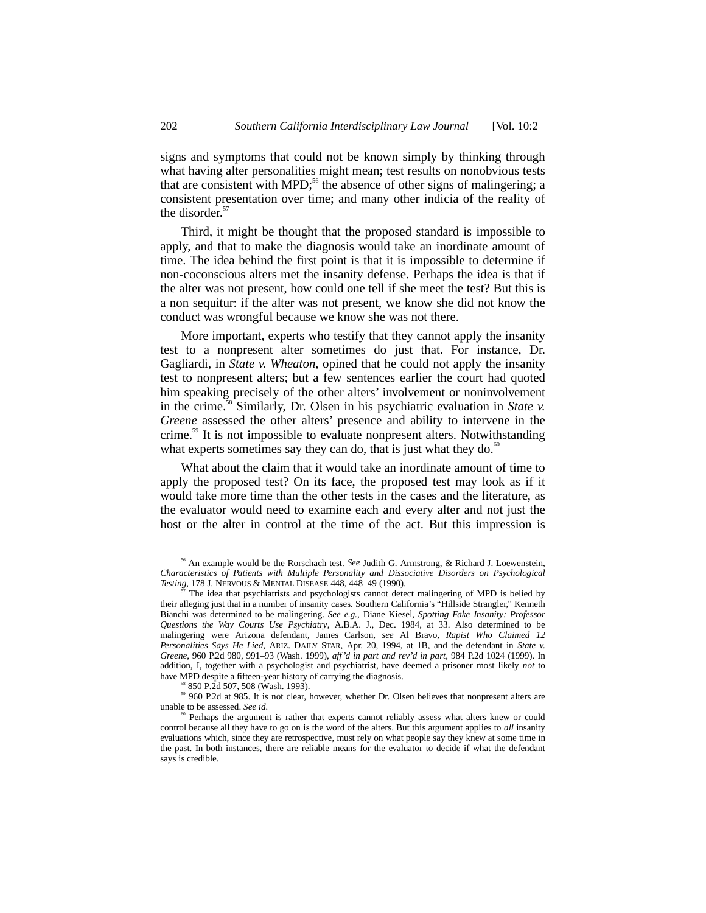signs and symptoms that could not be known simply by thinking through what having alter personalities might mean; test results on nonobvious tests that are consistent with MPD;<sup>56</sup> the absence of other signs of malingering; a consistent presentation over time; and many other indicia of the reality of the disorder.<sup>57</sup>

Third, it might be thought that the proposed standard is impossible to apply, and that to make the diagnosis would take an inordinate amount of time. The idea behind the first point is that it is impossible to determine if non-coconscious alters met the insanity defense. Perhaps the idea is that if the alter was not present, how could one tell if she meet the test? But this is a non sequitur: if the alter was not present, we know she did not know the conduct was wrongful because we know she was not there.

More important, experts who testify that they cannot apply the insanity test to a nonpresent alter sometimes do just that. For instance, Dr. Gagliardi, in *State v. Wheaton*, opined that he could not apply the insanity test to nonpresent alters; but a few sentences earlier the court had quoted him speaking precisely of the other alters' involvement or noninvolvement in the crime.58 Similarly, Dr. Olsen in his psychiatric evaluation in *State v. Greene* assessed the other alters' presence and ability to intervene in the crime.<sup>59</sup> It is not impossible to evaluate nonpresent alters. Notwithstanding what experts sometimes say they can do, that is just what they do.<sup>60</sup>

What about the claim that it would take an inordinate amount of time to apply the proposed test? On its face, the proposed test may look as if it would take more time than the other tests in the cases and the literature, as the evaluator would need to examine each and every alter and not just the host or the alter in control at the time of the act. But this impression is

 <sup>56</sup> An example would be the Rorschach test. *See* Judith G. Armstrong, & Richard J. Loewenstein, *Characteristics of Patients with Multiple Personality and Dissociative Disorders on Psychological Testing*, 178 J. NERVOUS & MENTAL DISEASE 448, 448–49 (1990).

<sup>57</sup> The idea that psychiatrists and psychologists cannot detect malingering of MPD is belied by their alleging just that in a number of insanity cases. Southern California's "Hillside Strangler," Kenneth Bianchi was determined to be malingering. *See e.g.*, Diane Kiesel, *Spotting Fake Insanity: Professor Questions the Way Courts Use Psychiatry*, A.B.A. J., Dec. 1984, at 33. Also determined to be malingering were Arizona defendant, James Carlson, *see* Al Bravo, *Rapist Who Claimed 12 Personalities Says He Lied*, ARIZ. DAILY STAR, Apr. 20, 1994, at 1B, and the defendant in *State v. Greene*, 960 P.2d 980, 991–93 (Wash. 1999), *aff'd in part and rev'd in part*, 984 P.2d 1024 (1999). In addition, I, together with a psychologist and psychiatrist, have deemed a prisoner most likely *not* to have MPD despite a fifteen-year history of carrying the diagnosis. <sup>58</sup> 850 P.2d 507, 508 (Wash. 1993).

<sup>&</sup>lt;sup>59</sup> 960 P.2d at 985. It is not clear, however, whether Dr. Olsen believes that nonpresent alters are unable to be assessed. *See id.* 

<sup>&</sup>lt;sup>0</sup> Perhaps the argument is rather that experts cannot reliably assess what alters knew or could control because all they have to go on is the word of the alters. But this argument applies to *all* insanity evaluations which, since they are retrospective, must rely on what people say they knew at some time in the past. In both instances, there are reliable means for the evaluator to decide if what the defendant says is credible.